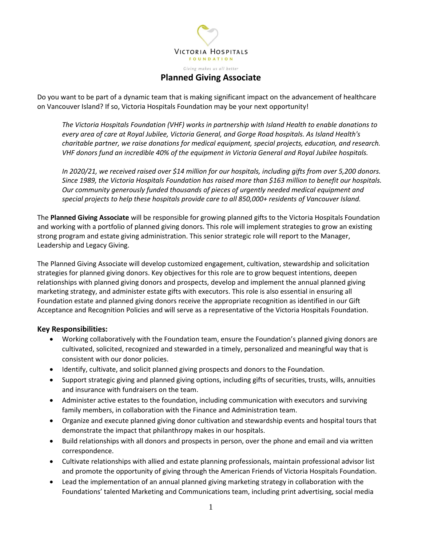

**Planned Giving Associate**

Do you want to be part of a dynamic team that is making significant impact on the advancement of healthcare on Vancouver Island? If so, Victoria Hospitals Foundation may be your next opportunity!

*The Victoria Hospitals Foundation (VHF) works in partnership with Island Health to enable donations to every area of care at Royal Jubilee, Victoria General, and Gorge Road hospitals. As Island Health's charitable partner, we raise donations for medical equipment, special projects, education, and research. VHF donors fund an incredible 40% of the equipment in Victoria General and Royal Jubilee hospitals.* 

*In 2020/21, we received raised over \$14 million for our hospitals, including gifts from over 5,200 donors. Since 1989, the Victoria Hospitals Foundation has raised more than \$163 million to benefit our hospitals. Our community generously funded thousands of pieces of urgently needed medical equipment and special projects to help these hospitals provide care to all 850,000+ residents of Vancouver Island.* 

The **Planned Giving Associate** will be responsible for growing planned gifts to the Victoria Hospitals Foundation and working with a portfolio of planned giving donors. This role will implement strategies to grow an existing strong program and estate giving administration. This senior strategic role will report to the Manager, Leadership and Legacy Giving.

The Planned Giving Associate will develop customized engagement, cultivation, stewardship and solicitation strategies for planned giving donors. Key objectives for this role are to grow bequest intentions, deepen relationships with planned giving donors and prospects, develop and implement the annual planned giving marketing strategy, and administer estate gifts with executors. This role is also essential in ensuring all Foundation estate and planned giving donors receive the appropriate recognition as identified in our Gift Acceptance and Recognition Policies and will serve as a representative of the Victoria Hospitals Foundation.

## **Key Responsibilities:**

- Working collaboratively with the Foundation team, ensure the Foundation's planned giving donors are cultivated, solicited, recognized and stewarded in a timely, personalized and meaningful way that is consistent with our donor policies.
- Identify, cultivate, and solicit planned giving prospects and donors to the Foundation.
- Support strategic giving and planned giving options, including gifts of securities, trusts, wills, annuities and insurance with fundraisers on the team.
- Administer active estates to the foundation, including communication with executors and surviving family members, in collaboration with the Finance and Administration team.
- Organize and execute planned giving donor cultivation and stewardship events and hospital tours that demonstrate the impact that philanthropy makes in our hospitals.
- Build relationships with all donors and prospects in person, over the phone and email and via written correspondence.
- Cultivate relationships with allied and estate planning professionals, maintain professional advisor list and promote the opportunity of giving through the American Friends of Victoria Hospitals Foundation.
- Lead the implementation of an annual planned giving marketing strategy in collaboration with the Foundations' talented Marketing and Communications team, including print advertising, social media